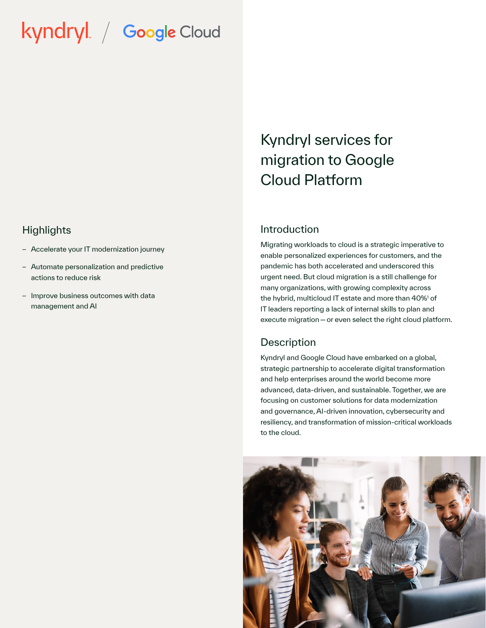# kyndryl / Google Cloud

#### **Highlights**

- Accelerate your IT modernization journey
- Automate personalization and predictive actions to reduce risk
- Improve business outcomes with data management and AI

# Kyndryl services for migration to Google Cloud Platform

#### Introduction

Migrating workloads to cloud is a strategic imperative to enable personalized experiences for customers, and the pandemic has both accelerated and underscored this urgent need. But cloud migration is a still challenge for many organizations, with growing complexity across the hybrid, multicloud IT estate and more than 40%1 of IT leaders reporting a lack of internal skills to plan and execute migration — or even select the right cloud platform.

#### **Description**

Kyndryl and Google Cloud have embarked on a global, strategic partnership to accelerate digital transformation and help enterprises around the world become more advanced, data-driven, and sustainable. Together, we are focusing on customer solutions for data modernization and governance, AI-driven innovation, cybersecurity and resiliency, and transformation of mission-critical workloads to the cloud.